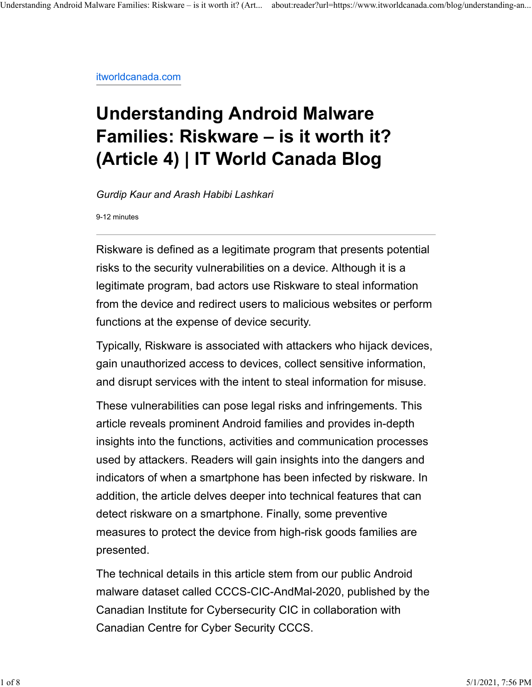itworldcanada.com

## **Understanding Android Malware Families: Riskware – is it worth it? (Article 4) | IT World Canada Blog**

*Gurdip Kaur and Arash Habibi Lashkari*

9-12 minutes

Riskware is defined as a legitimate program that presents potential risks to the security vulnerabilities on a device. Although it is a legitimate program, bad actors use Riskware to steal information from the device and redirect users to malicious websites or perform functions at the expense of device security.

Typically, Riskware is associated with attackers who hijack devices, gain unauthorized access to devices, collect sensitive information, and disrupt services with the intent to steal information for misuse.

These vulnerabilities can pose legal risks and infringements. This article reveals prominent Android families and provides in-depth insights into the functions, activities and communication processes used by attackers. Readers will gain insights into the dangers and indicators of when a smartphone has been infected by riskware. In addition, the article delves deeper into technical features that can detect riskware on a smartphone. Finally, some preventive measures to protect the device from high-risk goods families are presented.

The technical details in this article stem from our public Android malware dataset called CCCS-CIC-AndMal-2020, published by the Canadian Institute for Cybersecurity CIC in collaboration with Canadian Centre for Cyber Security CCCS.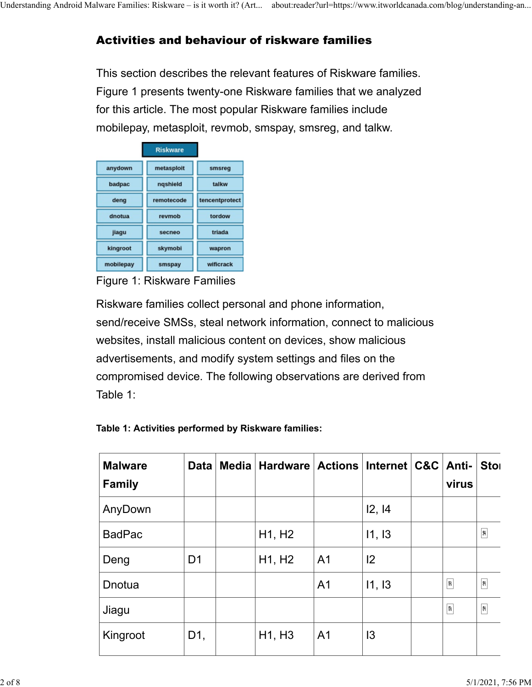## Activities and behaviour of riskware families

This section describes the relevant features of Riskware families. Figure 1 presents twenty-one Riskware families that we analyzed for this article. The most popular Riskware families include mobilepay, metasploit, revmob, smspay, smsreg, and talkw.

|           | <b>Riskware</b> |                |
|-----------|-----------------|----------------|
| anydown   | metasploit      | smsreg         |
| badpac    | ngshield        | talkw          |
| deng      | remotecode      | tencentprotect |
| dnotua    | revmob          | tordow         |
| jiagu     | secneo          | triada         |
| kingroot  | skymobi         | wapron         |
| mobilepay | smspay          | wificrack      |

Figure 1: Riskware Families

Riskware families collect personal and phone information, send/receive SMSs, steal network information, connect to malicious websites, install malicious content on devices, show malicious advertisements, and modify system settings and files on the compromised device. The following observations are derived from Table 1:

| <b>Malware</b><br><b>Family</b> | <b>Data</b>    | Media   Hardware   Actions   Internet   C&C   Anti- |                |                | virus                   | <b>Stol</b>                                 |
|---------------------------------|----------------|-----------------------------------------------------|----------------|----------------|-------------------------|---------------------------------------------|
| AnyDown                         |                |                                                     |                | 12, 14         |                         |                                             |
| <b>BadPac</b>                   |                | H <sub>1</sub> , H <sub>2</sub>                     |                | 11, 13         |                         | $\begin{bmatrix} 0 \\ 0 \\ 0 \end{bmatrix}$ |
| Deng                            | D <sub>1</sub> | H1, H <sub>2</sub>                                  | A <sub>1</sub> | 2              |                         |                                             |
| Dnotua                          |                |                                                     | A <sub>1</sub> | 11, 13         | $\boxed{?}$             | $\boxed{63}$                                |
| Jiagu                           |                |                                                     |                |                | $\overline{\mathbb{R}}$ | $\begin{bmatrix} 69 \end{bmatrix}$          |
| Kingroot                        | D1,            | H1, H3                                              | A <sub>1</sub> | $\overline{3}$ |                         |                                             |

| Table 1: Activities performed by Riskware families: |  |  |  |
|-----------------------------------------------------|--|--|--|
|-----------------------------------------------------|--|--|--|